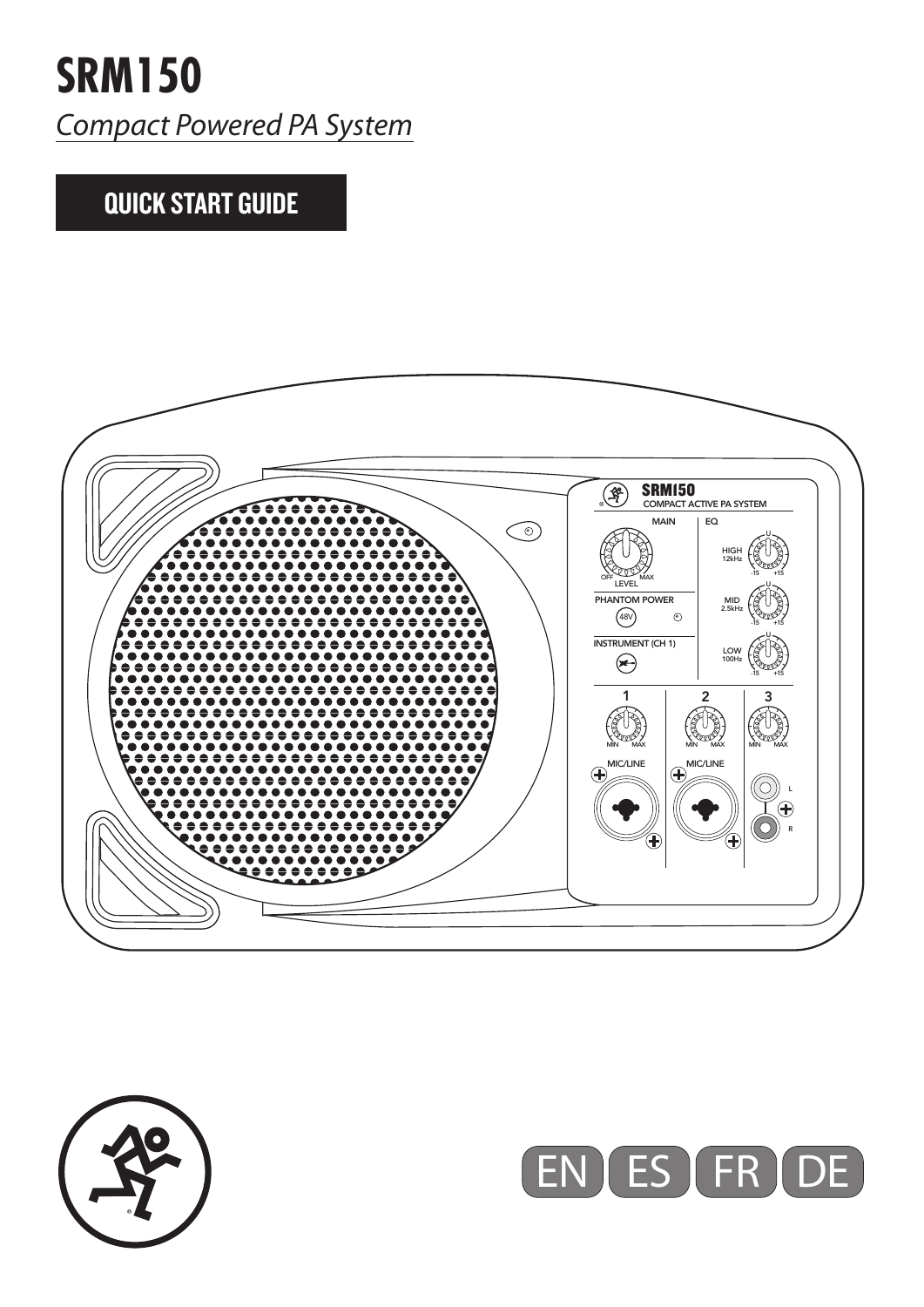## QUICK START GUIDE





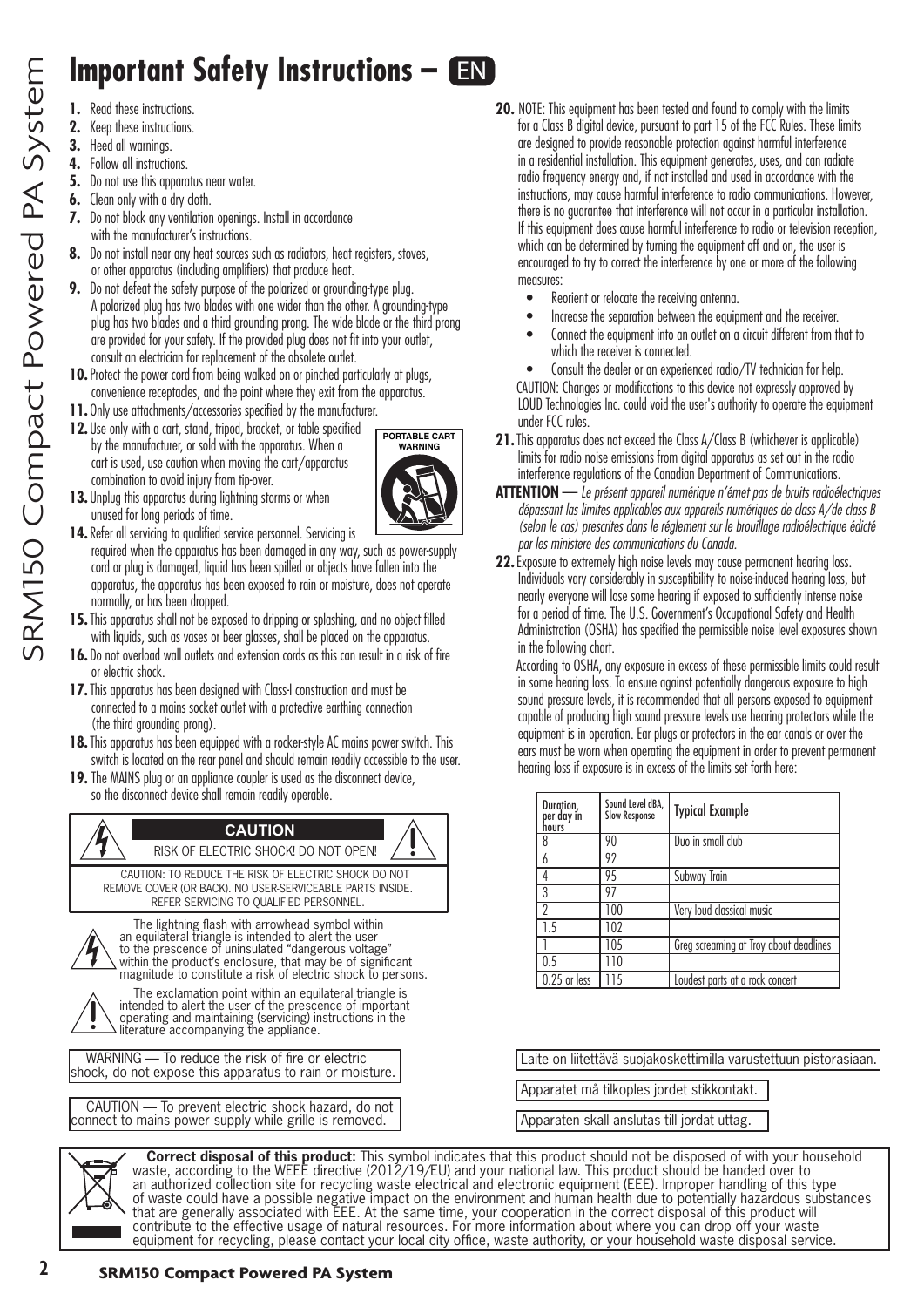## **Important Safety Instructions – EN**

- **1.** Read these instructions.
- **2.** Keep these instructions.
- **3.** Heed all warnings.
- **4.** Follow all instructions.
- **5.** Do not use this apparatus near water.
- **6.** Clean only with a dry cloth.
- **7.** Do not block any ventilation openings. Install in accordance with the manufacturer's instructions.
- **8.** Do not install near any heat sources such as radiators, heat registers, stoves, or other apparatus (including amplifiers) that produce heat.
- **9.** Do not defeat the safety purpose of the polarized or grounding-type plug. A polarized plug has two blades with one wider than the other. A grounding-type plug has two blades and a third grounding prong. The wide blade or the third prong are provided for your safety. If the provided plug does not fit into your outlet, consult an electrician for replacement of the obsolete outlet.
- **10.**Protect the power cord from being walked on or pinched particularly at plugs, convenience receptacles, and the point where they exit from the apparatus.
- **11.** Only use attachments/accessories specified by the manufacturer.
- **12.** Use only with a cart, stand, tripod, bracket, or table specified by the manufacturer, or sold with the apparatus. When a cart is used, use caution when moving the cart/apparatus combination to avoid injury from tip-over.



- **13.** Unplug this apparatus during lightning storms or when unused for long periods of time.
- 14. Refer all servicing to qualified service personnel. Servicing is required when the apparatus has been damaged in any way, such as power-supply cord or plug is damaged, liquid has been spilled or objects have fallen into the apparatus, the apparatus has been exposed to rain or moisture, does not operate normally, or has been dropped.
- **15.**This apparatus shall not be exposed to dripping or splashing, and no object filled with liquids, such as vases or beer glasses, shall be placed on the apparatus.
- 16. Do not overload wall outlets and extension cords as this can result in a risk of fire or electric shock.
- **17.** This apparatus has been designed with Class-I construction and must be connected to a mains socket outlet with a protective earthing connection (the third grounding prong).
- **18.**This apparatus has been equipped with a rocker-style AC mains power switch. This switch is located on the rear panel and should remain readily accessible to the user.
- **19.** The MAINS plug or an appliance coupler is used as the disconnect device, so the disconnect device shall remain readily operable.



- **20.** NOTE: This equipment has been tested and found to comply with the limits for a Class B digital device, pursuant to part 15 of the FCC Rules. These limits are designed to provide reasonable protection against harmful interference in a residential installation. This equipment generates, uses, and can radiate radio frequency energy and, if not installed and used in accordance with the instructions, may cause harmful interference to radio communications. However, there is no guarantee that interference will not occur in a particular installation. If this equipment does cause harmful interference to radio or television reception, which can be determined by turning the equipment off and on, the user is encouraged to try to correct the interference by one or more of the following measures:
	- Reorient or relocate the receiving antenna.
	- Increase the separation between the equipment and the receiver.
	- Connect the equipment into an outlet on a circuit different from that to which the receiver is connected.
	- Consult the dealer or an experienced radio/TV technician for help.

CAUTION: Changes or modifications to this device not expressly approved by LOUD Technologies Inc. could void the user's authority to operate the equipment under FCC rules.

- **21.** This apparatus does not exceed the Class A/Class B (whichever is applicable) limits for radio noise emissions from digital apparatus as set out in the radio interference regulations of the Canadian Department of Communications.
- **ATTENTION** — *Le présent appareil numérique n'émet pas de bruits radioélectriques dépassant las limites applicables aux appareils numériques de class A/de class B (selon le cas) prescrites dans le réglement sur le brouillage radioélectrique édicté par les ministere des communications du Canada.*
- **22.**Exposure to extremely high noise levels may cause permanent hearing loss. Individuals vary considerably in susceptibility to noise-induced hearing loss, but nearly everyone will lose some hearing if exposed to sufficiently intense noise for a period of time. The U.S. Government's Occupational Safety and Health Administration (OSHA) has specified the permissible noise level exposures shown in the following chart.

According to OSHA, any exposure in excess of these permissible limits could result in some hearing loss. To ensure against potentially dangerous exposure to high sound pressure levels, it is recommended that all persons exposed to equipment capable of producing high sound pressure levels use hearing protectors while the equipment is in operation. Ear plugs or protectors in the ear canals or over the ears must be worn when operating the equipment in order to prevent permanent hearing loss if exposure is in excess of the limits set forth here:

| Duration,<br>per day in<br>hours | Sound Level dBA,<br><b>Slow Response</b> | <b>Typical Example</b>                 |
|----------------------------------|------------------------------------------|----------------------------------------|
| 8                                | 90                                       | Duo in small club                      |
| 6                                | 92                                       |                                        |
| 4                                | 95                                       | Subway Train                           |
| 3                                | 97                                       |                                        |
| $\mathcal{P}$                    | 100                                      | Very loud classical music              |
| 1.5                              | 102                                      |                                        |
|                                  | 105                                      | Greg screaming at Troy about deadlines |
| 0.5                              | 110                                      |                                        |
| $0.25$ or less                   | 115                                      | Loudest parts at a rock concert        |

Laite on liitettävä suojakoskettimilla varustettuun pistorasiaan.

Apparatet må tilkoples jordet stikkontakt.

Apparaten skall anslutas till jordat uttag.

**Correct disposal of this product:** This symbol indicates that this product should not be disposed of with your household waste, according to the WEEE directive (2012/19/EU) and your national law. This product should be handed over to an authorized collection site for recycling waste electrical and electronic equipment (EEE). Improper handling of this type of waste could have a possible negative impact on the environment and human health due to potentially hazardous substances that are generally associated with EEE. At the same time, your cooperation in the correct disposal of this product will contribute to the effective usage of natural resources. For more information about where you can drop off your waste equipment for recycling, please contact your local city office, waste authority, or your household waste disposal service.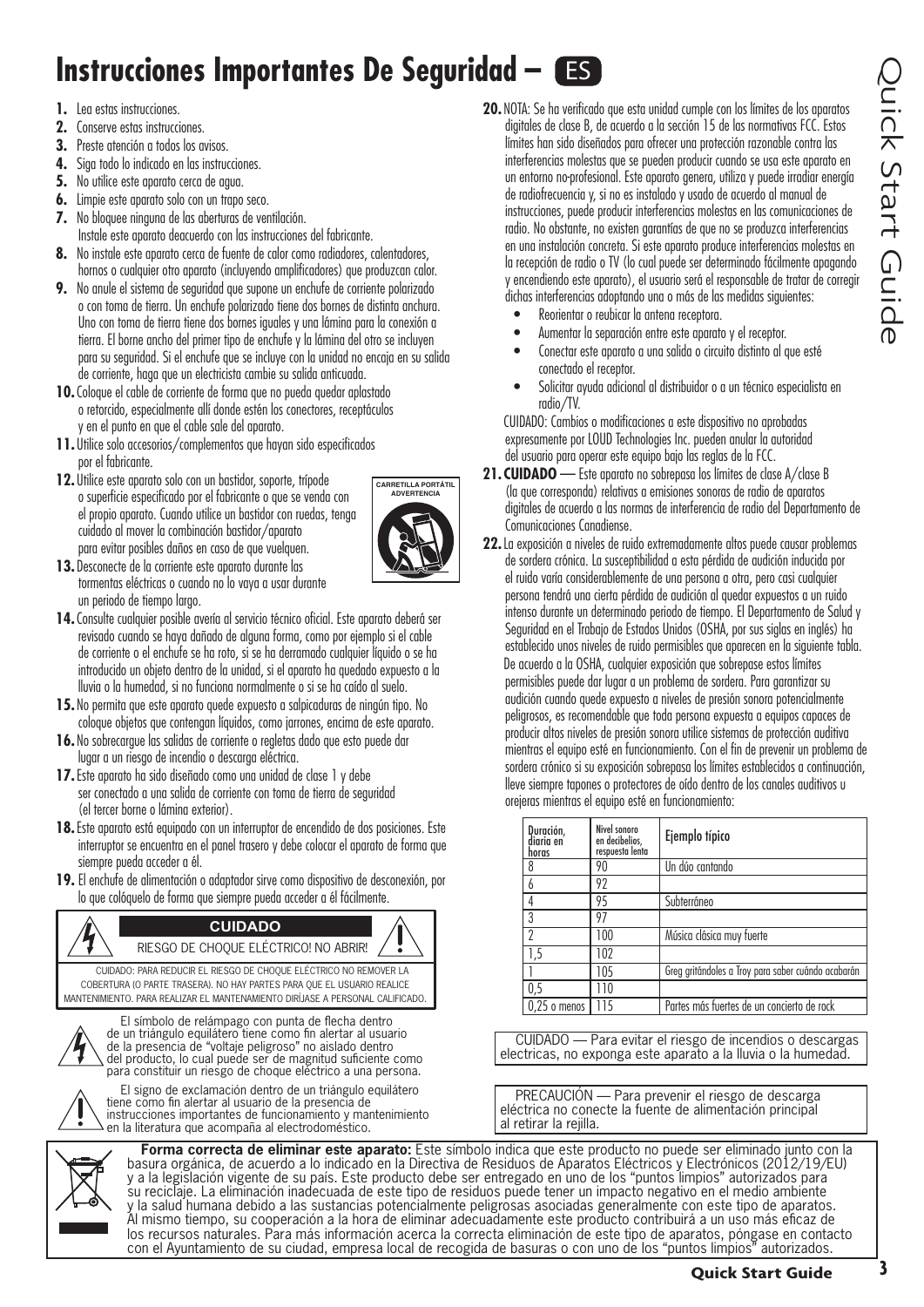## **Instrucciones Importantes De Seguridad – ES**

- **1.** Lea estas instrucciones.
- **2.** Conserve estas instrucciones.
- **3.** Preste atención a todos los avisos.
- **4.** Siga todo lo indicado en las instrucciones.
- **5.** No utilice este aparato cerca de agua.
- **6.** Limpie este aparato solo con un trapo seco.
- **7.** No bloquee ninguna de las aberturas de ventilación.
- Instale este aparato deacuerdo con las instrucciones del fabricante.
- **8.** No instale este aparato cerca de fuente de calor como radiadores, calentadores, hornos o cualquier otro aparato (incluyendo amplificadores) que produzcan calor.
- **9.** No anule el sistema de seguridad que supone un enchufe de corriente polarizado o con toma de tierra. Un enchufe polarizado tiene dos bornes de distinta anchura. Uno con toma de tierra tiene dos bornes iguales y una lámina para la conexión a tierra. El borne ancho del primer tipo de enchufe y la lámina del otro se incluyen para su seguridad. Si el enchufe que se incluye con la unidad no encaja en su salida de corriente, haga que un electricista cambie su salida anticuada.
- **10.**Coloque el cable de corriente de forma que no pueda quedar aplastado o retorcido, especialmente allí donde estén los conectores, receptáculos y en el punto en que el cable sale del aparato.
- **11.** Utilice solo accesorios/complementos que hayan sido especificados por el fabricante.
- **12.** Utilice este aparato solo con un bastidor, soporte, trípode o superficie especificado por el fabricante o que se venda con el propio aparato. Cuando utilice un bastidor con ruedas, tenga cuidado al mover la combinación bastidor/aparato para evitar posibles daños en caso de que vuelquen.



- **13.** Desconecte de la corriente este aparato durante las tormentas eléctricas o cuando no lo vaya a usar durante un periodo de tiempo largo.
- **14.**Consulte cualquier posible avería al servicio técnico oficial. Este aparato deberá ser revisado cuando se haya dañado de alguna forma, como por ejemplo si el cable de corriente o el enchufe se ha roto, si se ha derramado cualquier líquido o se ha introducido un objeto dentro de la unidad, si el aparato ha quedado expuesto a la lluvia o la humedad, si no funciona normalmente o si se ha caído al suelo.
- **15.** No permita que este aparato quede expuesto a salpicaduras de ningún tipo. No coloque objetos que contengan líquidos, como jarrones, encima de este aparato.
- **16.** No sobrecargue las salidas de corriente o regletas dado que esto puede dar lugar a un riesgo de incendio o descarga eléctrica.
- **17.**Este aparato ha sido diseñado como una unidad de clase 1 y debe ser conectado a una salida de corriente con toma de tierra de seguridad (el tercer borne o lámina exterior).
- **18.**Este aparato está equipado con un interruptor de encendido de dos posiciones. Este interruptor se encuentra en el panel trasero y debe colocar el aparato de forma que siempre pueda acceder a él.
- **19.** El enchufe de alimentación o adaptador sirve como dispositivo de desconexión, por lo que colóquelo de forma que siempre pueda acceder a él fácilmente.





El símbolo de relámpago con punta de flecha dentro de un triángulo equilátero tiene como fin alertar al usuario de la presencia de "voltaje peligroso" no aislado dentro del producto, lo cual puede ser de magnitud suficiente como para constituir un riesgo de choque eléctrico a una persona.



El signo de exclamación dentro de un triángulo equilátero tiene como fin alertar al usuario de la presencia de instrucciones importantes de funcionamiento y mantenimiento en la literatura que acompaña al electrodoméstico.



**Forma correcta de eliminar este aparato:** Este símbolo indica que este producto no puede ser eliminado junto con la basura orgánica, de acuerdo a lo indicado en la Directiva de Residuos de Aparatos Eléctricos y Electrónicos (2012/19/EU) y a la legislación vigente de su país. Este producto debe ser entregado en uno de los "puntos limpios" autorizados para su reciclaje. La eliminación inadecuada de este tipo de residuos puede tener un impacto negativo en el medio ambiente y la salud humana debido a las sustancias potencialmente peligrosas asociadas generalmente con este tipo de aparatos. Al mismo tiempo, su cooperación a la hora de eliminar adecuadamente este producto contribuirá a un uso más eficaz de los recursos naturales. Para más información acerca la correcta eliminación de este tipo de aparatos, póngase en contacto con el Ayuntamiento de su ciudad, empresa local de recogida de basuras o con uno de los "puntos limpios" autorizados.

- **20.** NOTA: Se ha verificado que esta unidad cumple con los límites de los aparatos digitales de clase B, de acuerdo a la sección 15 de las normativas FCC. Estos límites han sido diseñados para ofrecer una protección razonable contra las interferencias molestas que se pueden producir cuando se usa este aparato en un entorno no-profesional. Este aparato genera, utiliza y puede irradiar energía de radiofrecuencia y, si no es instalado y usado de acuerdo al manual de instrucciones, puede producir interferencias molestas en las comunicaciones de radio. No obstante, no existen garantías de que no se produzca interferencias en una instalación concreta. Si este aparato produce interferencias molestas en la recepción de radio o TV (lo cual puede ser determinado fácilmente apagando y encendiendo este aparato), el usuario será el responsable de tratar de corregir dichas interferencias adoptando una o más de las medidas siguientes:
	- Reorientar o reubicar la antena receptora.
	- Aumentar la separación entre este aparato y el receptor.
	- Conectar este aparato a una salida o circuito distinto al que esté conectado el receptor.
	- Solicitar ayuda adicional al distribuidor o a un técnico especialista en radio/TV.

CUIDADO: Cambios o modificaciones a este dispositivo no aprobadas expresamente por LOUD Technologies Inc. pueden anular la autoridad del usuario para operar este equipo bajo las reglas de la FCC.

- **21. CUIDADO** Este aparato no sobrepasa los límites de clase A/clase B (la que corresponda) relativas a emisiones sonoras de radio de aparatos digitales de acuerdo a las normas de interferencia de radio del Departamento de Comunicaciones Canadiense.
- **22.**La exposición a niveles de ruido extremadamente altos puede causar problemas de sordera crónica. La susceptibilidad a esta pérdida de audición inducida por el ruido varía considerablemente de una persona a otra, pero casi cualquier persona tendrá una cierta pérdida de audición al quedar expuestos a un ruido intenso durante un determinado periodo de tiempo. El Departamento de Salud y Seguridad en el Trabajo de Estados Unidos (OSHA, por sus siglas en inglés) ha establecido unos niveles de ruido permisibles que aparecen en la siguiente tabla. De acuerdo a la OSHA, cualquier exposición que sobrepase estos límites permisibles puede dar lugar a un problema de sordera. Para garantizar su audición cuando quede expuesto a niveles de presión sonora potencialmente peligrosos, es recomendable que toda persona expuesta a equipos capaces de producir altos niveles de presión sonora utilice sistemas de protección auditiva mientras el equipo esté en funcionamiento. Con el fin de prevenir un problema de sordera crónico si su exposición sobrepasa los límites establecidos a continuación, lleve siempre tapones o protectores de oído dentro de los canales auditivos u orejeras mientras el equipo esté en funcionamiento:

| Duración,<br>diaria en<br>horas | Nivel sonoro<br>en decibelios,<br>respuesta lenta | Ejemplo típico                                     |
|---------------------------------|---------------------------------------------------|----------------------------------------------------|
| 8                               | 90                                                | Un dúo cantando                                    |
|                                 | 92                                                |                                                    |
|                                 | 95                                                | Subterráneo                                        |
| 3                               | 97                                                |                                                    |
| $\gamma$                        | 100                                               | Música clásica muy fuerte                          |
| $\overline{.5}$                 | 102                                               |                                                    |
|                                 | 105                                               | Greg gritándoles a Troy para saber cuándo acabarán |
| $\overline{0.5}$                | 110                                               |                                                    |
| $0.25$ o menos                  | 115                                               | Partes más fuertes de un concierto de rock         |

CUIDADO — Para evitar el riesgo de incendios o descargas electricas, no exponga este aparato a la lluvia o la humedad.

PRECAUCIÓN — Para prevenir el riesgo de descarga eléctrica no conecte la fuente de alimentación principal al retirar la rejilla.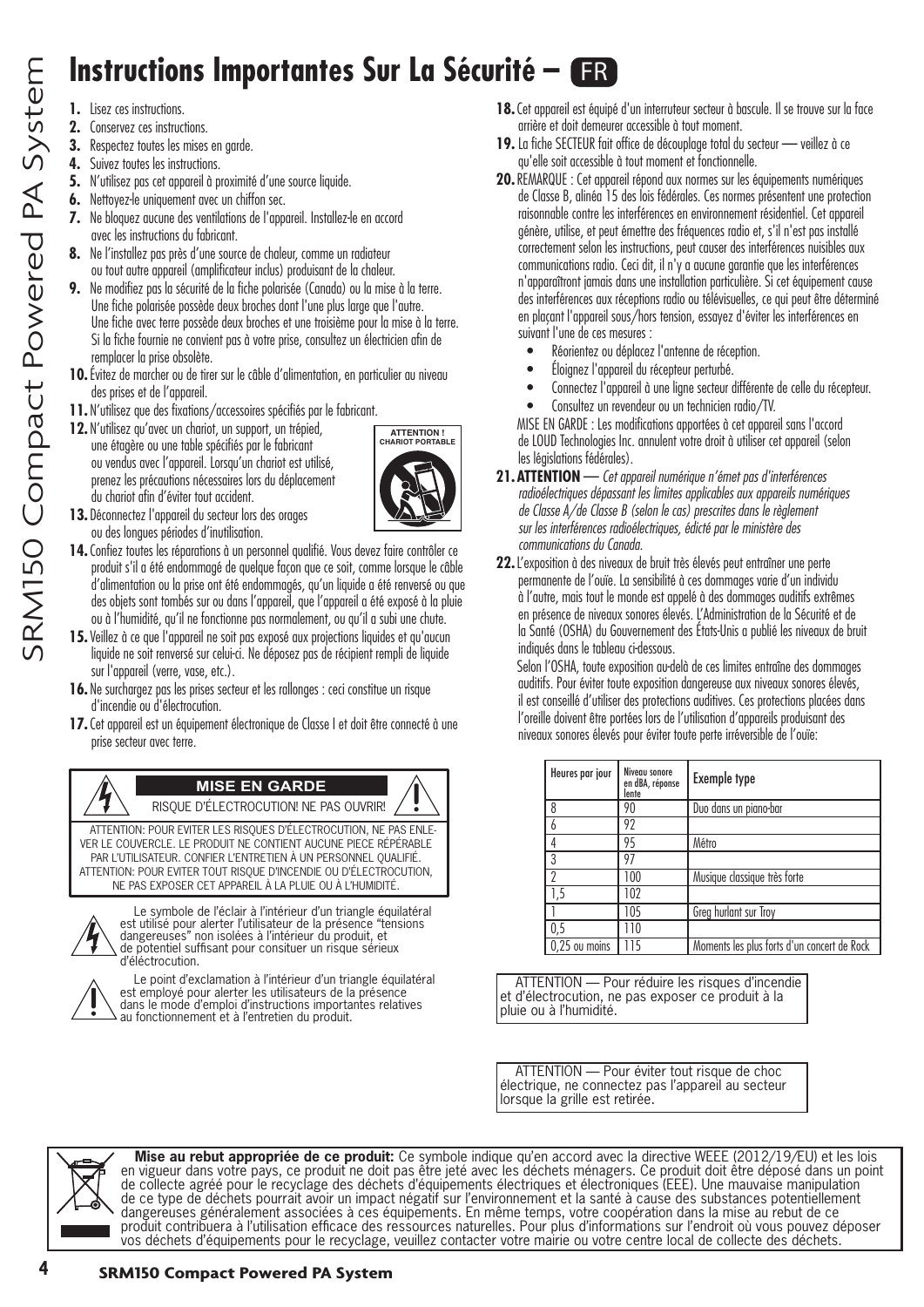## **Instructions Importantes Sur La Sécurité – ER**

**1.** Lisez ces instructions.

SRM150 Compact Powered PA System

SRM150 Compact Powered PA System

- **2.** Conservez ces instructions.
- **3.** Respectez toutes les mises en garde.
- **4.** Suivez toutes les instructions.
- **5.** N'utilisez pas cet appareil à proximité d'une source liquide.
- **6.** Nettovez-le uniquement avec un chiffon sec.
- **7.** Ne bloquez aucune des ventilations de l'appareil. Installez-le en accord avec les instructions du fabricant.
- **8.** Ne l'installez pas près d'une source de chaleur, comme un radiateur ou tout autre appareil (amplificateur inclus) produisant de la chaleur.
- **9.** Ne modifiez pas la sécurité de la fiche polarisée (Canada) ou la mise à la terre. Une fiche polarisée possède deux broches dont l'une plus large que l'autre. Une fiche avec terre possède deux broches et une troisième pour la mise à la terre. Si la fiche fournie ne convient pas à votre prise, consultez un électricien afin de remplacer la prise obsolète.
- **10.**Évitez de marcher ou de tirer sur le câble d'alimentation, en particulier au niveau des prises et de l'appareil.
- **11.** N'utilisez que des fixations/accessoires spécifiés par le fabricant.
- **12.** N'utilisez qu'avec un chariot, un support, un trépied, une étagère ou une table spécifiés par le fabricant ou vendus avec l'appareil. Lorsqu'un chariot est utilisé, prenez les précautions nécessaires lors du déplacement du chariot afin d'éviter tout accident.



- **13.** Déconnectez l'appareil du secteur lors des orages ou des longues périodes d'inutilisation.
- **14.**Confiez toutes les réparations à un personnel qualifié. Vous devez faire contrôler ce produit s'il a été endommagé de quelque façon que ce soit, comme lorsque le câble d'alimentation ou la prise ont été endommagés, qu'un liquide a été renversé ou que des objets sont tombés sur ou dans l'appareil, que l'appareil a été exposé à la pluie ou à l'humidité, qu'il ne fonctionne pas normalement, ou qu'il a subi une chute.
- **15.**Veillez à ce que l'appareil ne soit pas exposé aux projections liquides et qu'aucun liquide ne soit renversé sur celui-ci. Ne déposez pas de récipient rempli de liquide sur l'appareil (verre, vase, etc.).
- **16.** Ne surchargez pas les prises secteur et les rallonges : ceci constitue un risque d'incendie ou d'électrocution.
- **17.**Cet appareil est un équipement électronique de Classe I et doit être connecté à une prise secteur avec terre.



ATTENTION: POUR EVITER LES RISQUES D'ÉLECTROCUTION, NE PAS ENLE-VER LE COUVERCLE. LE PRODUIT NE CONTIENT AUCUNE PIECE RÉPÉRABLE PAR L'UTILISATEUR. CONFIER L'ENTRETIEN À UN PERSONNEL QUALIFIÉ. ATTENTION: POUR EVITER TOUT RISQUE D'INCENDIE OU D'ÉLECTROCUTION, NE PAS EXPOSER CET APPAREIL À LA PLUIE OU À L'HUMIDITÉ.



Le symbole de l'éclair à l'intérieur d'un triangle équilatéral est utilisé pour alerter l'utilisateur de la présence "tensions dangereuses" non isolées à l'intérieur du produit, et de potentiel suffisant pour consituer un risque sérieux d'éléctrocution.



Le point d'exclamation à l'intérieur d'un triangle équilatéral est employé pour alerter les utilisateurs de la présence dans le mode d'emploi d'instructions importantes relatives au fonctionnement et à l'entretien du produit.

- **18.**Cet appareil est équipé d'un interruteur secteur à bascule. Il se trouve sur la face arrière et doit demeurer accessible à tout moment.
- **19.** La fiche SECTEUR fait office de découplage total du secteur veillez à ce qu'elle soit accessible à tout moment et fonctionnelle.
- **20.**REMARQUE : Cet appareil répond aux normes sur les équipements numériques de Classe B, alinéa 15 des lois fédérales. Ces normes présentent une protection raisonnable contre les interférences en environnement résidentiel. Cet appareil génère, utilise, et peut émettre des fréquences radio et, s'il n'est pas installé correctement selon les instructions, peut causer des interférences nuisibles aux communications radio. Ceci dit, il n'y a aucune garantie que les interférences n'apparaîtront jamais dans une installation particulière. Si cet équipement cause des interférences aux réceptions radio ou télévisuelles, ce qui peut être déterminé en plaçant l'appareil sous/hors tension, essayez d'éviter les interférences en suivant l'une de ces mesures :
	- Réorientez ou déplacez l'antenne de réception.
	- Éloignez l'appareil du récepteur perturbé.
	- Connectez l'appareil à une ligne secteur différente de celle du récepteur.
	- Consultez un revendeur ou un technicien radio/TV.

MISE EN GARDE : Les modifications apportées à cet appareil sans l'accord de LOUD Technologies Inc. annulent votre droit à utiliser cet appareil (selon les législations fédérales).

- **21.ATTENTION** *Cet appareil numérique n'émet pas d'interférences radioélectriques dépassant les limites applicables aux appareils numériques de Classe A/de Classe B (selon le cas) prescrites dans le règlement sur les interférences radioélectriques, édicté par le ministère des communications du Canada.*
- **22.**L'exposition à des niveaux de bruit très élevés peut entraîner une perte permanente de l'ouïe. La sensibilité à ces dommages varie d'un individu à l'autre, mais tout le monde est appelé à des dommages auditifs extrêmes en présence de niveaux sonores élevés. L'Administration de la Sécurité et de la Santé (OSHA) du Gouvernement des États-Unis a publié les niveaux de bruit indiqués dans le tableau ci-dessous.

Selon l'OSHA, toute exposition au-delà de ces limites entraîne des dommages auditifs. Pour éviter toute exposition dangereuse aux niveaux sonores élevés, il est conseillé d'utiliser des protections auditives. Ces protections placées dans l'oreille doivent être portées lors de l'utilisation d'appareils produisant des niveaux sonores élevés pour éviter toute perte irréversible de l'ouïe:

| Heures par jour | Niveau sonore<br>en dBA, réponse<br>lente | <b>Exemple type</b>                         |
|-----------------|-------------------------------------------|---------------------------------------------|
| 8               | 90                                        | Duo dans un piano-bar                       |
|                 | 92                                        |                                             |
|                 | 95                                        | Métro                                       |
| ς               | 97                                        |                                             |
| n               | 100                                       | Musique classique très forte                |
| 5, ا            | 102                                       |                                             |
|                 | 105                                       | Greg hurlant sur Troy                       |
| 0,5             | 110                                       |                                             |
| 0,25 ou moins   | 115                                       | Moments les plus forts d'un concert de Rock |

ATTENTION — Pour réduire les risques d'incendie et d'électrocution, ne pas exposer ce produit à la pluie ou à l'humidité.

ATTENTION — Pour éviter tout risque de choc électrique, ne connectez pas l'appareil au secteur lorsque la grille est retirée.



**Mise au rebut appropriée de ce produit:** Ce symbole indique qu'en accord avec la directive WEEE (2012/19/EU) et les lois en vigueur dans votre pays, ce produit ne doit pas être jeté avec les déchets ménagers. Ce produit doit être déposé dans un point de collecte agréé pour le recyclage des déchets d'équipements électriques et électroniques (EEE). Une mauvaise manipulation de ce type de déchets pourrait avoir un impact négatif sur l'environnement et la santé à cause des substances potentiellement dangereuses généralement associées à ces équipements. En même temps, votre coopération dans la mise au rebut de ce produit contribuera à l'utilisation efficace des ressources naturelles. Pour plus d'informations sur l'endroit où vous pouvez déposer vos déchets d'équipements pour le recyclage, veuillez contacter votre mairie ou votre centre local de collecte des déchets.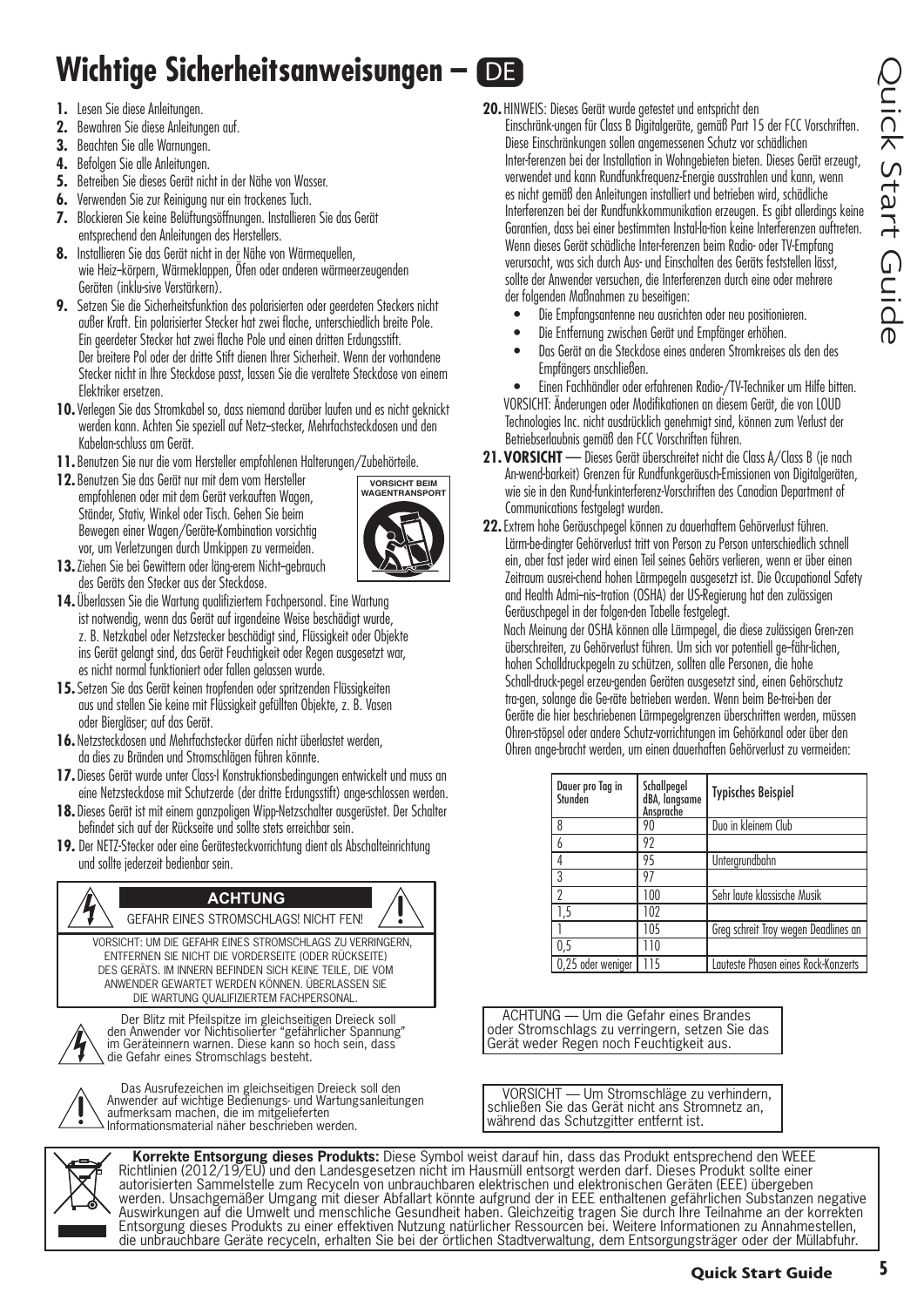## **Wichtige Sicherheitsanweisungen – DE**

- **1.** Lesen Sie diese Anleitungen.
- **2.** Bewahren Sie diese Anleitungen auf.
- **3.** Beachten Sie alle Warnungen.
- **4.** Befolgen Sie alle Anleitungen.
- **5.** Betreiben Sie dieses Gerät nicht in der Nähe von Wasser.
- **6.** Verwenden Sie zur Reinigung nur ein trockenes Tuch.
- **7.** Blockieren Sie keine Belüftungsöffnungen. Installieren Sie das Gerät entsprechend den Anleitungen des Herstellers.
- 8. Installieren Sie das Gerät nicht in der Nähe von Wärmequellen. wie Heiz--körpern, Wärmeklappen, Öfen oder anderen wärmeerzeugenden Geräten (inklu-sive Verstärkern).
- **9.** Setzen Sie die Sicherheitsfunktion des polarisierten oder geerdeten Steckers nicht außer Kraft. Ein polarisierter Stecker hat zwei flache, unterschiedlich breite Pole. Ein geerdeter Stecker hat zwei flache Pole und einen dritten Erdungsstift. Der breitere Pol oder der dritte Stift dienen Ihrer Sicherheit. Wenn der vorhandene Stecker nicht in Ihre Steckdose passt, lassen Sie die veraltete Steckdose von einem Elektriker ersetzen.
- **10.**Verlegen Sie das Stromkabel so, dass niemand darüber laufen und es nicht geknickt werden kann. Achten Sie speziell auf Netz--stecker, Mehrfachsteckdosen und den Kabelan-schluss am Gerät.
- **11.**Benutzen Sie nur die vom Hersteller empfohlenen Halterungen/Zubehörteile.
- **12.**Benutzen Sie das Gerät nur mit dem vom Hersteller empfohlenen oder mit dem Gerät verkauften Wagen, Ständer, Stativ, Winkel oder Tisch. Gehen Sie beim Bewegen einer Wagen/Geräte-Kombination vorsichtig vor, um Verletzungen durch Umkippen zu vermeiden.



- 13. Ziehen Sie bei Gewittern oder läng-erem Nicht-gebrauch des Geräts den Stecker aus der Steckdose.
- **14.** Überlassen Sie die Wartung qualifiziertem Fachpersonal. Eine Wartung ist notwendig, wenn das Gerät auf irgendeine Weise beschädigt wurde, z. B. Netzkabel oder Netzstecker beschädigt sind, Flüssigkeit oder Objekte ins Gerät gelangt sind, das Gerät Feuchtigkeit oder Regen ausgesetzt war, es nicht normal funktioniert oder fallen gelassen wurde.
- **15.**Setzen Sie das Gerät keinen tropfenden oder spritzenden Flüssigkeiten aus und stellen Sie keine mit Flüssigkeit gefüllten Objekte, z. B. Vasen oder Biergläser; auf das Gerät.
- **16.** Netzsteckdosen und Mehrfachstecker dürfen nicht überlastet werden, da dies zu Bränden und Stromschlägen führen könnte.
- **17.** Dieses Gerät wurde unter Class-I Konstruktionsbedingungen entwickelt und muss an eine Netzsteckdose mit Schutzerde (der dritte Erdungsstift) ange-schlossen werden.
- **18.** Dieses Gerät ist mit einem ganzpoligen Wipp-Netzschalter ausgerüstet. Der Schalter befindet sich auf der Rückseite und sollte stets erreichbar sein.
- **19.** Der NETZ-Stecker oder eine Gerätesteckvorrichtung dient als Abschalteinrichtung und sollte jederzeit bedienbar sein.

#### **ACHTUNG**

GEFAHR EINES STROMSCHLAGS! NICHT FEN! VORSICHT: UM DIE GEFAHR EINES STROMSCHLAGS ZU VERRINGERN, ENTFERNEN SIE NICHT DIE VORDERSEITE (ODER RÜCKSEITE) DES GERÄTS. IM INNERN BEFINDEN SICH KEINE TEILE, DIE VOM ANWENDER GEWARTET WERDEN KÖNNEN. ÜBERLASSEN SIE DIE WARTUNG QUALIFIZIERTEM FACHPERSONAL.



Der Blitz mit Pfeilspitze im gleichseitigen Dreieck soll den Anwender vor Nichtisolierter "gefährlicher Spannung" im Geräteinnern warnen. Diese kann so hoch sein, dass die Gefahr eines Stromschlags besteht.



Das Ausrufezeichen im gleichseitigen Dreieck soll den Anwender auf wichtige Bedienungs- und Wartungsanleitungen aufmerksam machen, die im mitgelieferten Informationsmaterial näher beschrieben werden.

**20.** HINWEIS: Dieses Gerät wurde getestet und entspricht den

Einschränk-ungen für Class B Digitalgeräte, gemäß Part 15 der FCC Vorschriften. Diese Einschränkungen sollen angemessenen Schutz vor schädlichen Inter-ferenzen bei der Installation in Wohngebieten bieten. Dieses Gerät erzeugt, verwendet und kann Rundfunkfrequenz-Energie ausstrahlen und kann, wenn es nicht gemäß den Anleitungen installiert und betrieben wird, schädliche Interferenzen bei der Rundfunkkommunikation erzeugen. Es gibt allerdings keine Garantien, dass bei einer bestimmten Instal-la-tion keine Interferenzen auftreten. Wenn dieses Gerät schädliche Inter-ferenzen beim Radio- oder TV-Empfang verursacht, was sich durch Aus- und Einschalten des Geräts feststellen lässt, sollte der Anwender versuchen, die Interferenzen durch eine oder mehrere der folgenden Maßnahmen zu beseitigen:

- Die Empfangsantenne neu ausrichten oder neu positionieren.
- Die Entfernung zwischen Gerät und Empfänger erhöhen.
- Das Gerät an die Steckdose eines anderen Stromkreises als den des Empfängers anschließen.

• Einen Fachhändler oder erfahrenen Radio-/TV-Techniker um Hilfe bitten. VORSICHT: Änderungen oder Modifikationen an diesem Gerät, die von LOUD Technologies Inc. nicht ausdrücklich genehmigt sind, können zum Verlust der Betriebserlaubnis gemäß den FCC Vorschriften führen.

- **21.VORSICHT** Dieses Gerät überschreitet nicht die Class A/Class B (je nach An-wend-barkeit) Grenzen für Rundfunkgeräusch-Emissionen von Digitalgeräten, wie sie in den Rund-funkinterferenz-Vorschriften des Canadian Department of Communications festgelegt wurden.
- **22.**Extrem hohe Geräuschpegel können zu dauerhaftem Gehörverlust führen. Lärm-be-dingter Gehörverlust tritt von Person zu Person unterschiedlich schnell ein, aber fast jeder wird einen Teil seines Gehörs verlieren, wenn er über einen Zeitraum ausrei-chend hohen Lärmpegeln ausgesetzt ist. Die Occupational Safety and Health Admi--nis--tration (OSHA) der US-Regierung hat den zulässigen Geräuschpegel in der folgen-den Tabelle festgelegt.

Nach Meinung der OSHA können alle Lärmpegel, die diese zulässigen Gren-zen überschreiten, zu Gehörverlust führen. Um sich vor potentiell ge--fähr-lichen, hohen Schalldruckpegeln zu schützen, sollten alle Personen, die hohe Schall-druck-pegel erzeu-genden Geräten ausgesetzt sind, einen Gehörschutz tra-gen, solange die Ge-räte betrieben werden. Wenn beim Be-trei-ben der Geräte die hier beschriebenen Lärmpegelgrenzen überschritten werden, müssen Ohren-stöpsel oder andere Schutz-vorrichtungen im Gehörkanal oder über den Ohren ange-bracht werden, um einen dauerhaften Gehörverlust zu vermeiden:

| Daver pro Tag in<br>Stunden | Schallpegel<br>dBA, langsame<br>Ansprache | <b>Typisches Beispiel</b>            |
|-----------------------------|-------------------------------------------|--------------------------------------|
| 8                           | 90                                        | Duo in kleinem Club                  |
| 6                           | 92                                        |                                      |
| 4                           | 95                                        | Untergrundbahn                       |
| 3                           | 97                                        |                                      |
| ŋ                           | 100                                       | Sehr laute klassische Musik          |
| 1,5                         | 102                                       |                                      |
|                             | 105                                       | Greg schreit Troy wegen Deadlines an |
| 0,5                         | 110                                       |                                      |
| 0,25 oder weniger           | 115                                       | Lauteste Phasen eines Rock-Konzerts  |

ACHTUNG — Um die Gefahr eines Brandes oder Stromschlags zu verringern, setzen Sie das Gerät weder Regen noch Feuchtigkeit aus.

VORSICHT — Um Stromschläge zu verhindern, schließen Sie das Gerät nicht ans Stromnetz an, während das Schutzgitter entfernt ist.

**Korrekte Entsorgung dieses Produkts:** Diese Symbol weist darauf hin, dass das Produkt entsprechend den WEEE Richtlinien (2012/19/EU) und den Landesgesetzen nicht im Hausmüll entsorgt werden darf. Dieses Produkt sollte einer autorisierten Sammelstelle zum Recyceln von unbrauchbaren elektrischen und elektronischen Geräten (EEE) übergeben werden. Unsachgemäßer Umgang mit dieser Abfallart könnte aufgrund der in EEE enthaltenen gefährlichen Substanzen negative Auswirkungen auf die Umwelt und menschliche Gesundheit haben. Gleichzeitig tragen Sie durch Ihre Teilnahme an der korrekten Entsorgung dieses Produkts zu einer effektiven Nutzung natürlicher Ressourcen bei. Weitere Informationen zu Annahmestellen, die unbrauchbare Geräte recyceln, erhalten Sie bei der örtlichen Stadtverwaltung, dem Entsorgungsträger oder der Müllabfuhr.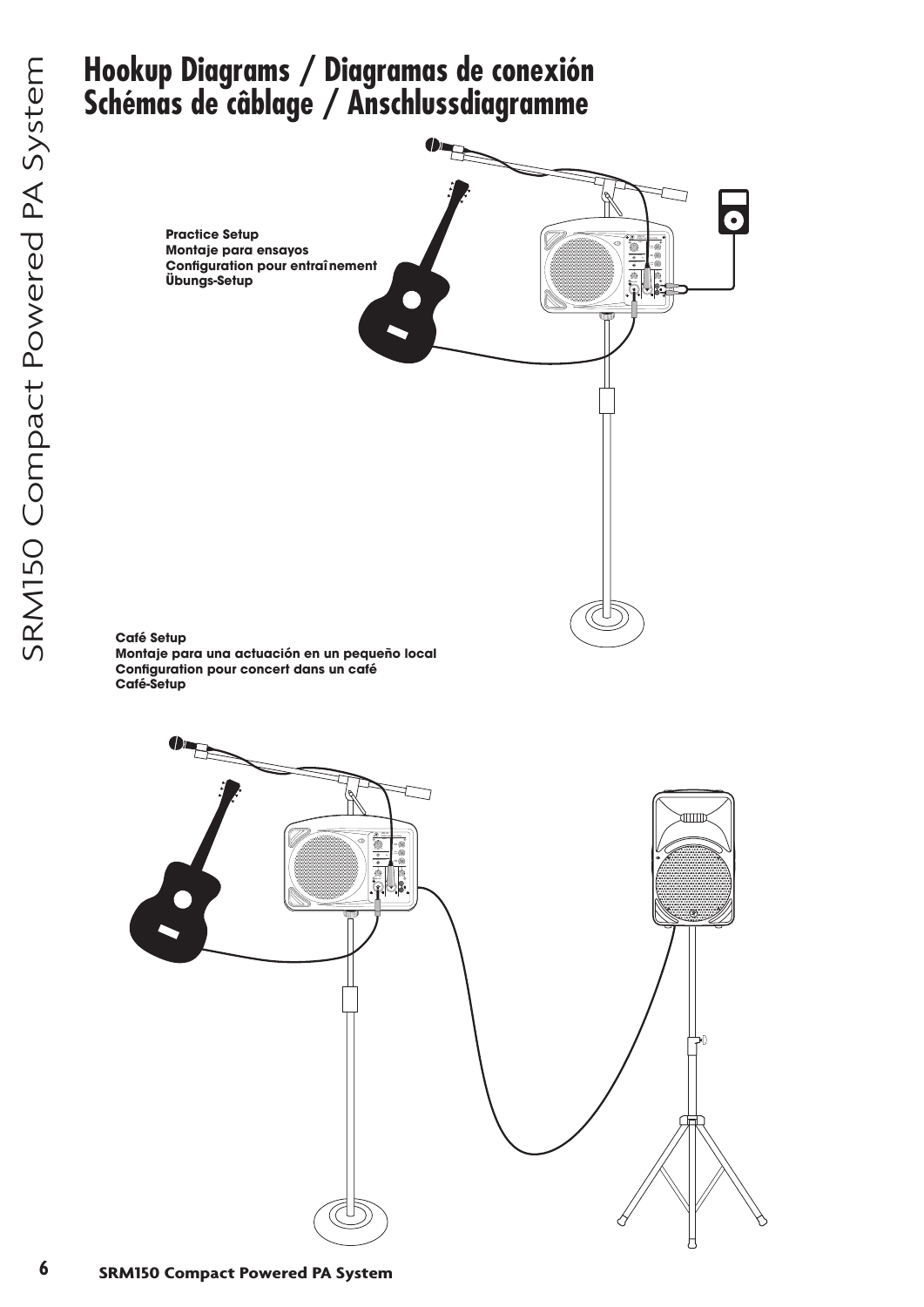## **Hookup Diagrams / Diagramas de conexión Schémas de câblage / Anschlussdiagramme**

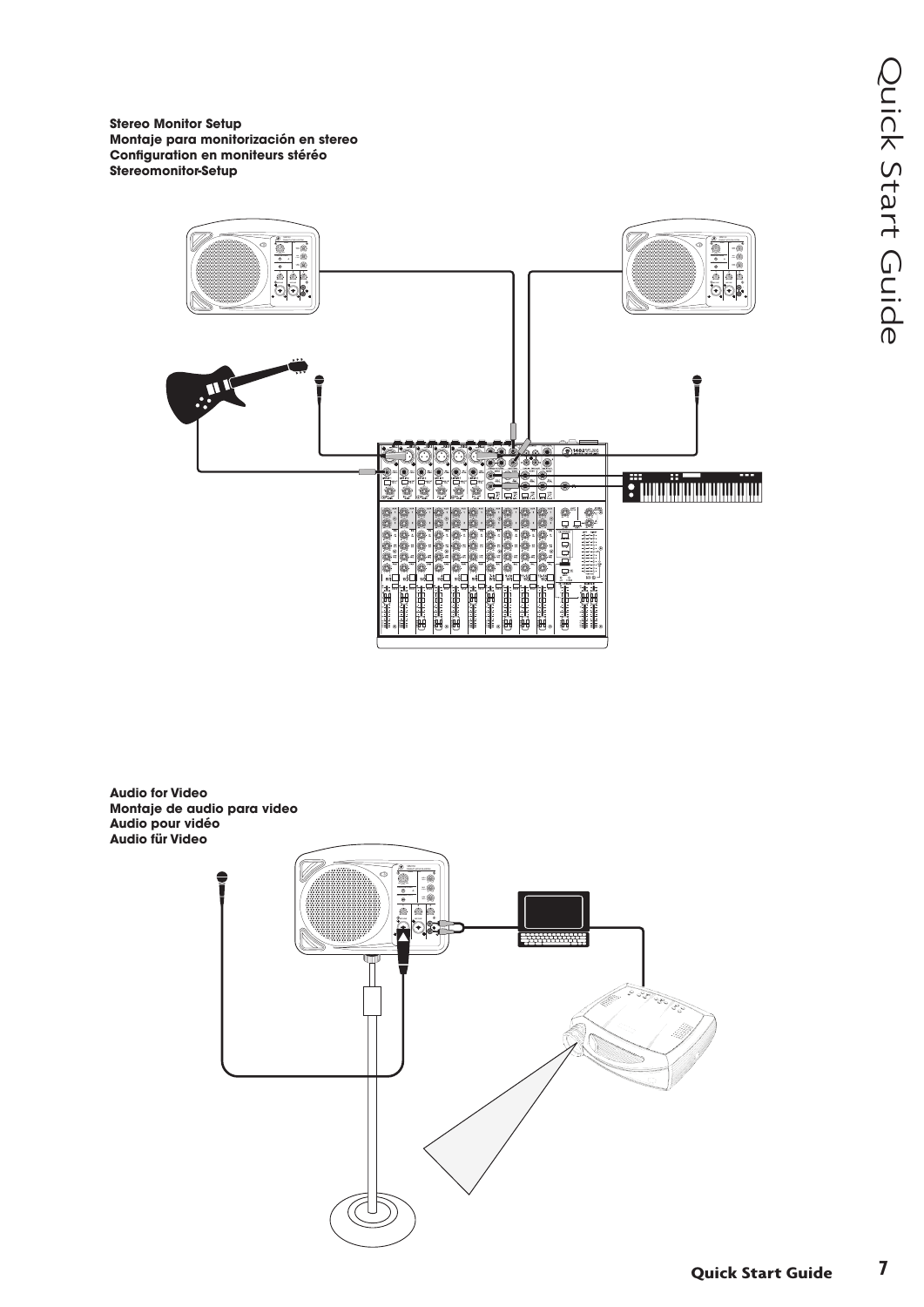**Stereo Monitor Setup Montaje para monitorización en stereo Configuration en moniteurs stéréo Stereomonitor-Setup**



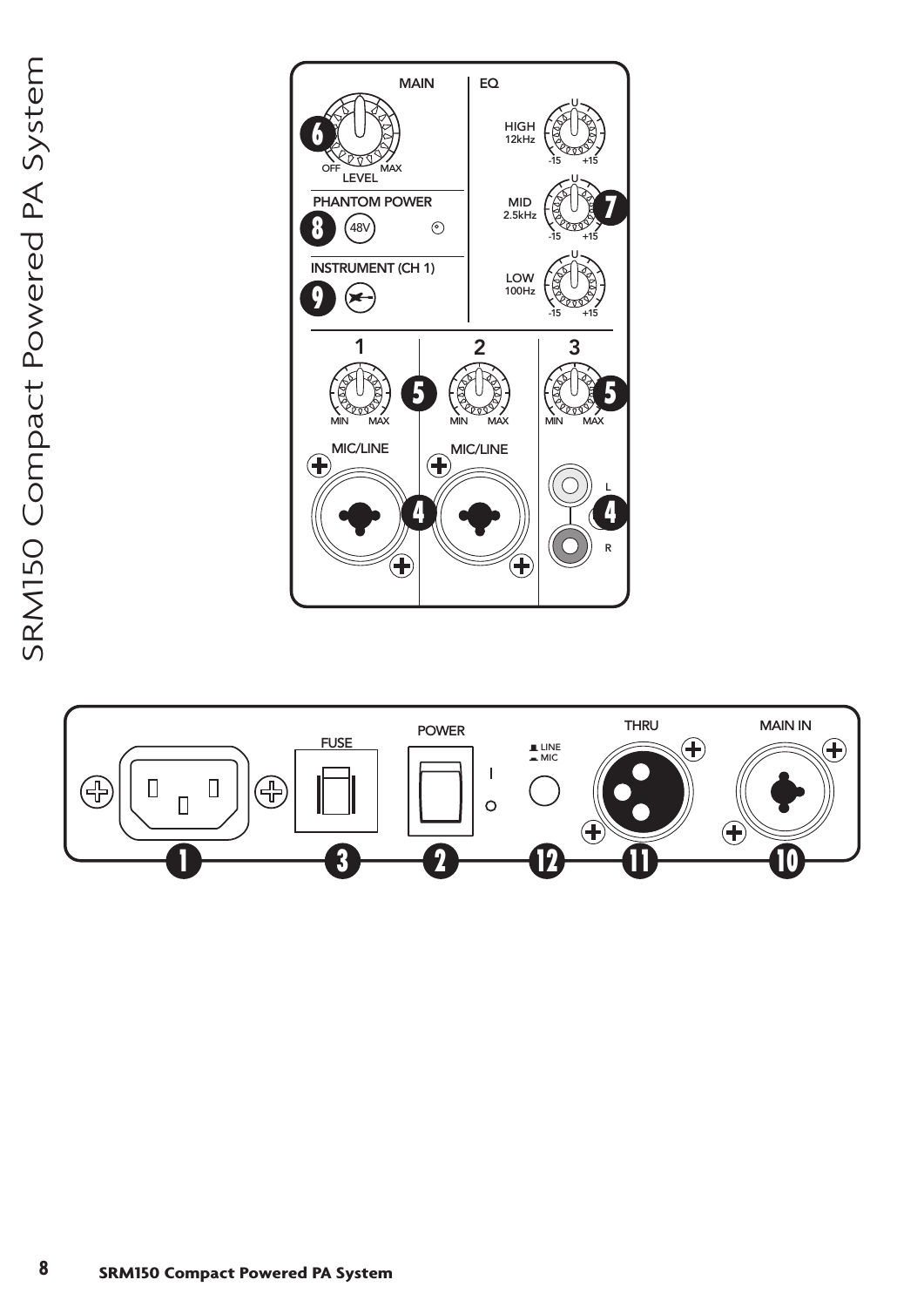

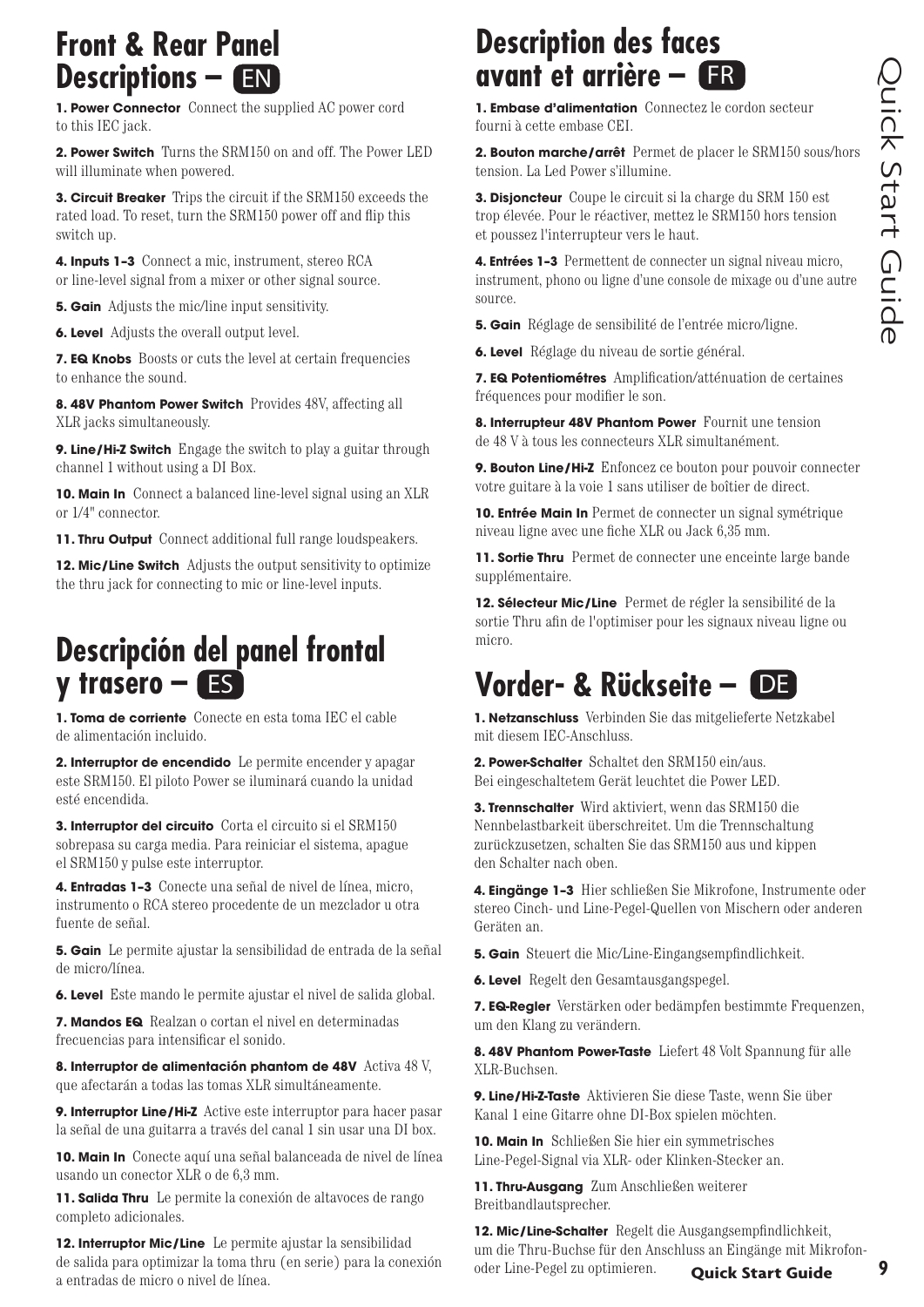# Quick Start Guide **Quick Start Guide**

## **Front & Rear Panel Descriptions – EN**

**1. Power Connector** Connect the supplied AC power cord to this IEC jack.

**2. Power Switch** Turns the SRM150 on and off. The Power LED will illuminate when powered.

**3. Circuit Breaker** Trips the circuit if the SRM150 exceeds the rated load. To reset, turn the SRM150 power off and flip this switch up.

**4. Inputs 1–3** Connect a mic, instrument, stereo RCA or line-level signal from a mixer or other signal source.

**5. Gain** Adjusts the mic/line input sensitivity.

**6. Level** Adjusts the overall output level.

**7. EQ Knobs** Boosts or cuts the level at certain frequencies to enhance the sound.

**8. 48V Phantom Power Switch** Provides 48V, affecting all XLR jacks simultaneously.

**9. Line/Hi-Z Switch** Engage the switch to play a guitar through channel 1 without using a DI Box.

**10. Main In** Connect a balanced line-level signal using an XLR or 1/4" connector.

**11. Thru Output** Connect additional full range loudspeakers.

**12. Mic/Line Switch** Adjusts the output sensitivity to optimize the thru jack for connecting to mic or line-level inputs.

## **Descripción del panel frontal y trasero – ES**

**1. Toma de corriente** Conecte en esta toma IEC el cable de alimentación incluido.

**2. Interruptor de encendido** Le permite encender y apagar este SRM150. El piloto Power se iluminará cuando la unidad esté encendida.

**3. Interruptor del circuito** Corta el circuito si el SRM150 sobrepasa su carga media. Para reiniciar el sistema, apague el SRM150 y pulse este interruptor.

**4. Entradas 1–3** Conecte una señal de nivel de línea, micro, instrumento o RCA stereo procedente de un mezclador u otra fuente de señal.

**5. Gain** Le permite ajustar la sensibilidad de entrada de la señal de micro/línea.

**6. Level** Este mando le permite ajustar el nivel de salida global.

**7. Mandos EQ** Realzan o cortan el nivel en determinadas frecuencias para intensificar el sonido.

**8. Interruptor de alimentación phantom de 48V** Activa 48 V, que afectarán a todas las tomas XLR simultáneamente.

**9. Interruptor Line/Hi-Z** Active este interruptor para hacer pasar la señal de una guitarra a través del canal 1 sin usar una DI box.

**10. Main In** Conecte aquí una señal balanceada de nivel de línea usando un conector XLR o de 6,3 mm.

**11. Salida Thru** Le permite la conexión de altavoces de rango completo adicionales.

**12. Interruptor Mic/Line** Le permite ajustar la sensibilidad de salida para optimizar la toma thru (en serie) para la conexión a entradas de micro o nivel de línea.

### **Description des faces avant et arrière – ER**

**1. Embase d'alimentation** Connectez le cordon secteur fourni à cette embase CEI.

**2. Bouton marche/arrêt** Permet de placer le SRM150 sous/hors tension. La Led Power s'illumine.

**3. Disjoncteur** Coupe le circuit si la charge du SRM 150 est trop élevée. Pour le réactiver, mettez le SRM150 hors tension et poussez l'interrupteur vers le haut.

**4. Entrées 1–3** Permettent de connecter un signal niveau micro, instrument, phono ou ligne d'une console de mixage ou d'une autre source.

- **5. Gain** Réglage de sensibilité de l'entrée micro/ligne.
- **6. Level** Réglage du niveau de sortie général.

**7. EQ Potentiométres** Amplification/atténuation de certaines fréquences pour modifier le son.

**8. Interrupteur 48V Phantom Power** Fournit une tension de 48 V à tous les connecteurs XLR simultanément.

**9. Bouton Line/Hi-Z** Enfoncez ce bouton pour pouvoir connecter votre guitare à la voie 1 sans utiliser de boîtier de direct.

**10. Entrée Main In** Permet de connecter un signal symétrique niveau ligne avec une fiche XLR ou Jack 6,35 mm.

**11. Sortie Thru** Permet de connecter une enceinte large bande supplémentaire.

**12. Sélecteur Mic/Line** Permet de régler la sensibilité de la sortie Thru afin de l'optimiser pour les signaux niveau ligne ou micro.

**1. Netzanschluss** Verbinden Sie das mitgelieferte Netzkabel mit diesem IEC-Anschluss.

**2. Power-Schalter** Schaltet den SRM150 ein/aus. Bei eingeschaltetem Gerät leuchtet die Power LED.

**3. Trennschalter** Wird aktiviert, wenn das SRM150 die Nennbelastbarkeit überschreitet. Um die Trennschaltung zurückzusetzen, schalten Sie das SRM150 aus und kippen den Schalter nach oben.

**4. Eingänge 1–3** Hier schließen Sie Mikrofone, Instrumente oder stereo Cinch- und Line-Pegel-Quellen von Mischern oder anderen Geräten an.

- **5. Gain** Steuert die Mic/Line-Eingangsempfindlichkeit.
- **6. Level** Regelt den Gesamtausgangspegel.

**7. EQ-Regler** Verstärken oder bedämpfen bestimmte Frequenzen, um den Klang zu verändern.

**8. 48V Phantom Power-Taste** Liefert 48 Volt Spannung für alle XLR-Buchsen.

**9. Line/Hi-Z-Taste** Aktivieren Sie diese Taste, wenn Sie über Kanal 1 eine Gitarre ohne DI-Box spielen möchten.

**10. Main In** Schließen Sie hier ein symmetrisches Line-Pegel-Signal via XLR- oder Klinken-Stecker an.

**11. Thru-Ausgang** Zum Anschließen weiterer Breitbandlautsprecher.

**Quick Start Guide 9 12. Mic/Line-Schalter** Regelt die Ausgangsempfindlichkeit, um die Thru-Buchse für den Anschluss an Eingänge mit Mikrofonoder Line-Pegel zu optimieren.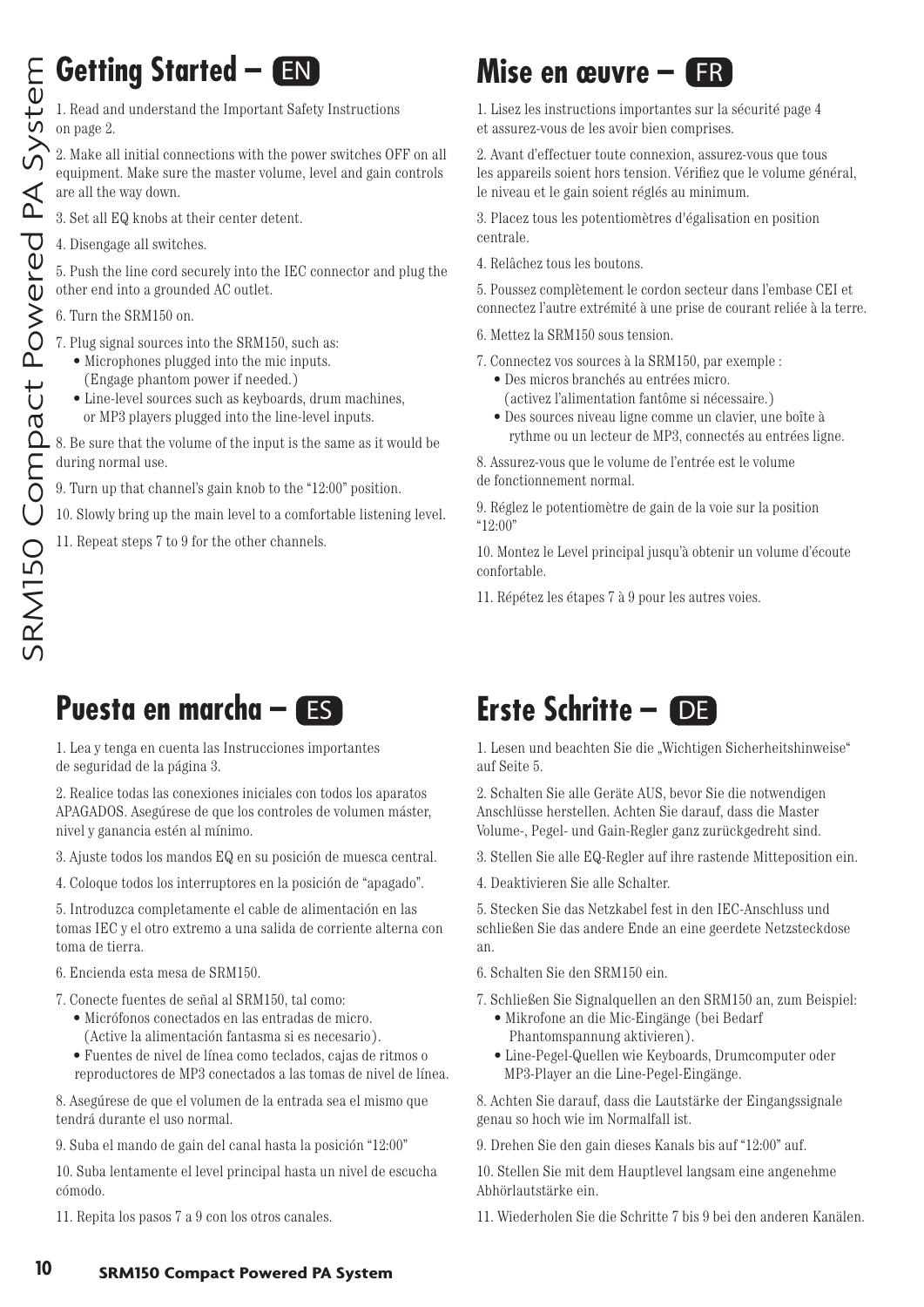#### **Getting Started –**  EN DESTRUCTION

1. Read and understand the Important Safety Instructions on page 2.

2. Make all initial connections with the power switches OFF on all equipment. Make sure the master volume, level and gain controls are all the way down.

3. Set all EQ knobs at their center detent.

4. Disengage all switches.

5. Push the line cord securely into the IEC connector and plug the other end into a grounded AC outlet.

6. Turn the SRM150 on.

- 7. Plug signal sources into the SRM150, such as:
- Microphones plugged into the mic inputs.
- (Engage phantom power if needed.) • Line-level sources such as keyboards, drum machines, or MP3 players plugged into the line-level inputs.
- 8. Be sure that the volume of the input is the same as it would be during normal use.
- 9. Turn up that channel's gain knob to the "12:00" position.
- 10. Slowly bring up the main level to a comfortable listening level.
- 11. Repeat steps 7 to 9 for the other channels.

## **Mise en œuvre – ER**

1. Lisez les instructions importantes sur la sécurité page 4 et assurez-vous de les avoir bien comprises.

2. Avant d'effectuer toute connexion, assurez-vous que tous les appareils soient hors tension. Vérifiez que le volume général, le niveau et le gain soient réglés au minimum.

3. Placez tous les potentiomètres d'égalisation en position centrale.

4. Relâchez tous les boutons.

5. Poussez complètement le cordon secteur dans l'embase CEI et connectez l'autre extrémité à une prise de courant reliée à la terre.

- 6. Mettez la SRM150 sous tension.
- 7. Connectez vos sources à la SRM150, par exemple :
	- Des micros branchés au entrées micro. (activez l'alimentation fantôme si nécessaire.)
	- Des sources niveau ligne comme un clavier, une boîte à rythme ou un lecteur de MP3, connectés au entrées ligne.

8. Assurez-vous que le volume de l'entrée est le volume de fonctionnement normal.

9. Réglez le potentiomètre de gain de la voie sur la position "12:00"

10. Montez le Level principal jusqu'à obtenir un volume d'écoute confortable.

11. Répétez les étapes 7 à 9 pour les autres voies.

## **Puesta en marcha –**

1. Lea y tenga en cuenta las Instrucciones importantes de seguridad de la página 3.

2. Realice todas las conexiones iniciales con todos los aparatos APAGADOS. Asegúrese de que los controles de volumen máster, nivel y ganancia estén al mínimo.

3. Ajuste todos los mandos EQ en su posición de muesca central.

4. Coloque todos los interruptores en la posición de "apagado".

5. Introduzca completamente el cable de alimentación en las tomas IEC y el otro extremo a una salida de corriente alterna con toma de tierra.

#### 6. Encienda esta mesa de SRM150.

- 7. Conecte fuentes de señal al SRM150, tal como:
	- Micrófonos conectados en las entradas de micro. (Active la alimentación fantasma si es necesario).
	- Fuentes de nivel de línea como teclados, cajas de ritmos o reproductores de MP3 conectados a las tomas de nivel de línea.

8. Asegúrese de que el volumen de la entrada sea el mismo que tendrá durante el uso normal.

9. Suba el mando de gain del canal hasta la posición "12:00"

10. Suba lentamente el level principal hasta un nivel de escucha cómodo.

11. Repita los pasos 7 a 9 con los otros canales.

## **EN ERIGE ER ER ER ER DE LA ESCAPTABLE DE LA ESCAPTABLE DE LA ENFIR DE LA ENFIR DE LA ENFIR DE LA ENFIR DE LA E**

1. Lesen und beachten Sie die "Wichtigen Sicherheitshinweise" auf Seite 5.

2. Schalten Sie alle Geräte AUS, bevor Sie die notwendigen Anschlüsse herstellen. Achten Sie darauf, dass die Master Volume-, Pegel- und Gain-Regler ganz zurückgedreht sind.

3. Stellen Sie alle EQ-Regler auf ihre rastende Mitteposition ein.

4. Deaktivieren Sie alle Schalter.

5. Stecken Sie das Netzkabel fest in den IEC-Anschluss und schließen Sie das andere Ende an eine geerdete Netzsteckdose an.

- 6. Schalten Sie den SRM150 ein.
- 7. Schließen Sie Signalquellen an den SRM150 an, zum Beispiel:
	- Mikrofone an die Mic-Eingänge (bei Bedarf Phantomspannung aktivieren).
	- Line-Pegel-Quellen wie Keyboards, Drumcomputer oder MP3-Player an die Line-Pegel-Eingänge.

8. Achten Sie darauf, dass die Lautstärke der Eingangssignale genau so hoch wie im Normalfall ist.

9. Drehen Sie den gain dieses Kanals bis auf "12:00" auf.

10. Stellen Sie mit dem Hauptlevel langsam eine angenehme Abhörlautstärke ein.

11. Wiederholen Sie die Schritte 7 bis 9 bei den anderen Kanälen.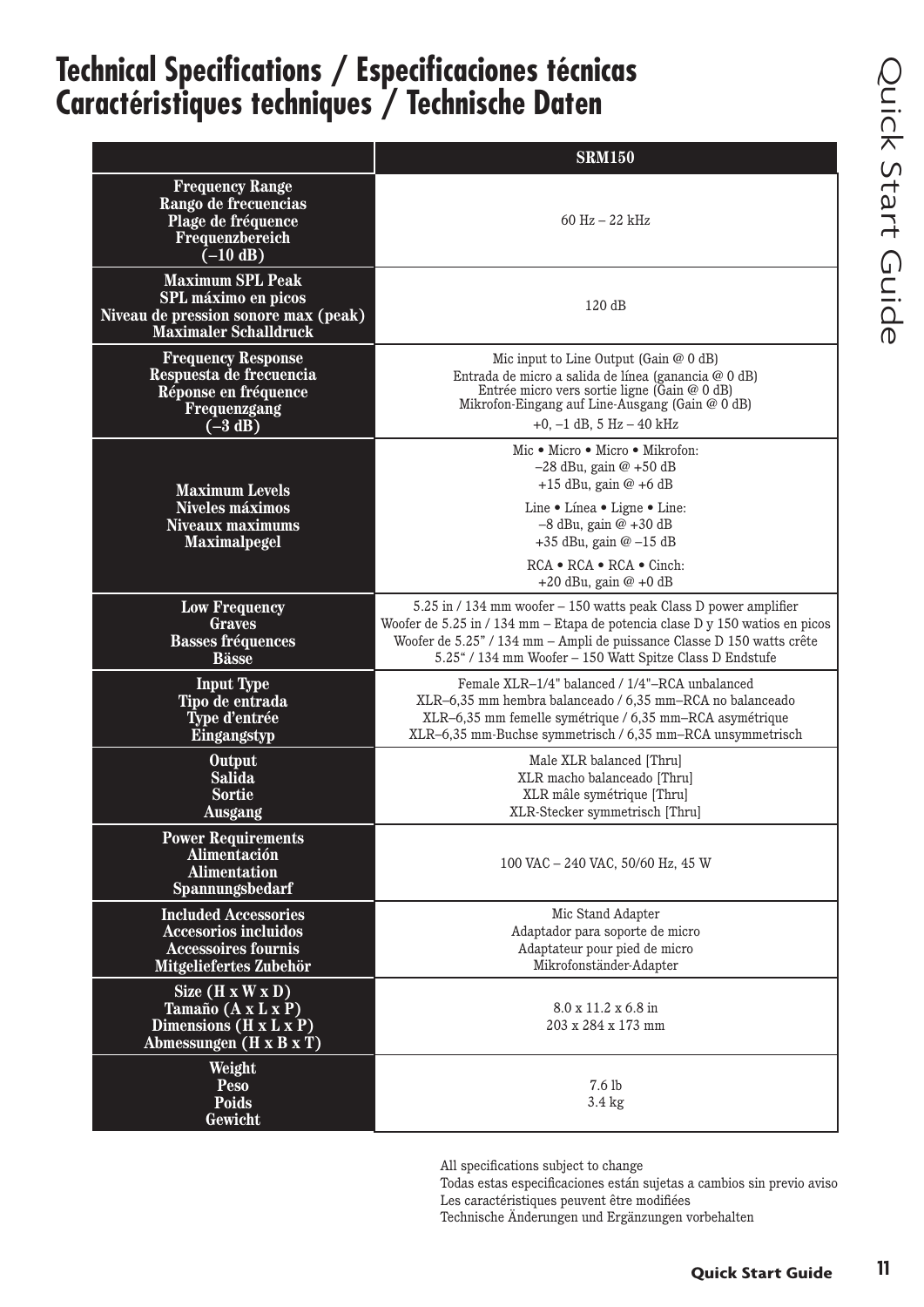# Quick Start Guide Quick Start Guide

## **Technical Specifications / Especificaciones técnicas Caractéristiques techniques / Technische Daten**

|                                                                                                                        | <b>SRM150</b>                                                                                                                                                                                                                                                                          |
|------------------------------------------------------------------------------------------------------------------------|----------------------------------------------------------------------------------------------------------------------------------------------------------------------------------------------------------------------------------------------------------------------------------------|
| <b>Frequency Range</b><br>Rango de frecuencias<br>Plage de fréquence<br>Frequenzbereich<br>$(-10 \text{ dB})$          | $60 \text{ Hz} - 22 \text{ kHz}$                                                                                                                                                                                                                                                       |
| <b>Maximum SPL Peak</b><br>SPL máximo en picos<br>Niveau de pression sonore max (peak)<br><b>Maximaler Schalldruck</b> | 120dB                                                                                                                                                                                                                                                                                  |
| <b>Frequency Response</b><br>Respuesta de frecuencia<br>Réponse en fréquence<br>Frequenzgang<br>$(-3 dB)$              | Mic input to Line Output (Gain @ 0 dB)<br>Entrada de micro a salida de línea (ganancia @ 0 dB)<br>Entrée micro vers sortie ligne (Gain @ 0 dB)<br>Mikrofon-Eingang auf Line-Ausgang (Gain @ 0 dB)<br>$+0$ , $-1$ dB, 5 Hz $-$ 40 kHz                                                   |
| <b>Maximum Levels</b><br>Niveles máximos<br><b>Niveaux maximums</b><br><b>Maximalpegel</b>                             | Mic • Micro • Micro • Mikrofon:<br>$-28$ dBu, gain @ $+50$ dB<br>$+15$ dBu, gain @ $+6$ dB<br>Line • Linea • Ligne • Line:<br>$-8$ dBu, gain $@ + 30$ dB<br>$+35$ dBu, gain @ $-15$ dB<br>$RCA \bullet RCA \bullet RCA \bullet Cinch$<br>$+20$ dBu, gain $@ + 0$ dB                    |
| <b>Low Frequency</b><br><b>Graves</b><br><b>Basses fréquences</b><br><b>Bässe</b>                                      | 5.25 in / 134 mm woofer - 150 watts peak Class D power amplifier<br>Woofer de 5.25 in / 134 mm - Etapa de potencia clase D y 150 watios en picos<br>Woofer de 5.25" / 134 mm - Ampli de puissance Classe D 150 watts crête<br>5.25" / 134 mm Woofer - 150 Watt Spitze Class D Endstufe |
| <b>Input Type</b><br>Tipo de entrada<br>Type d'entrée<br>Eingangstyp                                                   | Female XLR-1/4" balanced / 1/4"-RCA unbalanced<br>XLR-6,35 mm hembra balanceado / 6,35 mm-RCA no balanceado<br>XLR-6,35 mm femelle symétrique / 6,35 mm-RCA asymétrique<br>XLR-6,35 mm-Buchse symmetrisch / 6,35 mm-RCA unsymmetrisch                                                  |
| Output<br><b>Salida</b><br><b>Sortie</b><br><b>Ausgang</b>                                                             | Male XLR balanced [Thru]<br>XLR macho balanceado [Thru]<br>XLR mâle symétrique [Thru]<br>XLR-Stecker symmetrisch [Thru]                                                                                                                                                                |
| <b>Power Requirements</b><br>Alimentación<br><b>Alimentation</b><br>Spannungsbedarf                                    | 100 VAC - 240 VAC, 50/60 Hz, 45 W                                                                                                                                                                                                                                                      |
| <b>Included Accessories</b><br><b>Accesorios incluidos</b><br><b>Accessoires fournis</b><br>Mitgeliefertes Zubehör     | Mic Stand Adapter<br>Adaptador para soporte de micro<br>Adaptateur pour pied de micro<br>Mikrofonständer-Adapter                                                                                                                                                                       |
| Size $(H \times W \times D)$<br>Tamaño (A x L x P)<br>Dimensions (H x L x P)<br>Abmessungen $(H \times B \times T)$    | 8.0 x 11.2 x 6.8 in<br>203 x 284 x 173 mm                                                                                                                                                                                                                                              |
| Weight<br><b>Peso</b><br><b>Poids</b><br>Gewicht                                                                       | 7.6 lb<br>3.4 kg                                                                                                                                                                                                                                                                       |

All specifications subject to change

Todas estas especificaciones están sujetas a cambios sin previo aviso Les caractéristiques peuvent être modifiées

Technische Änderungen und Ergänzungen vorbehalten